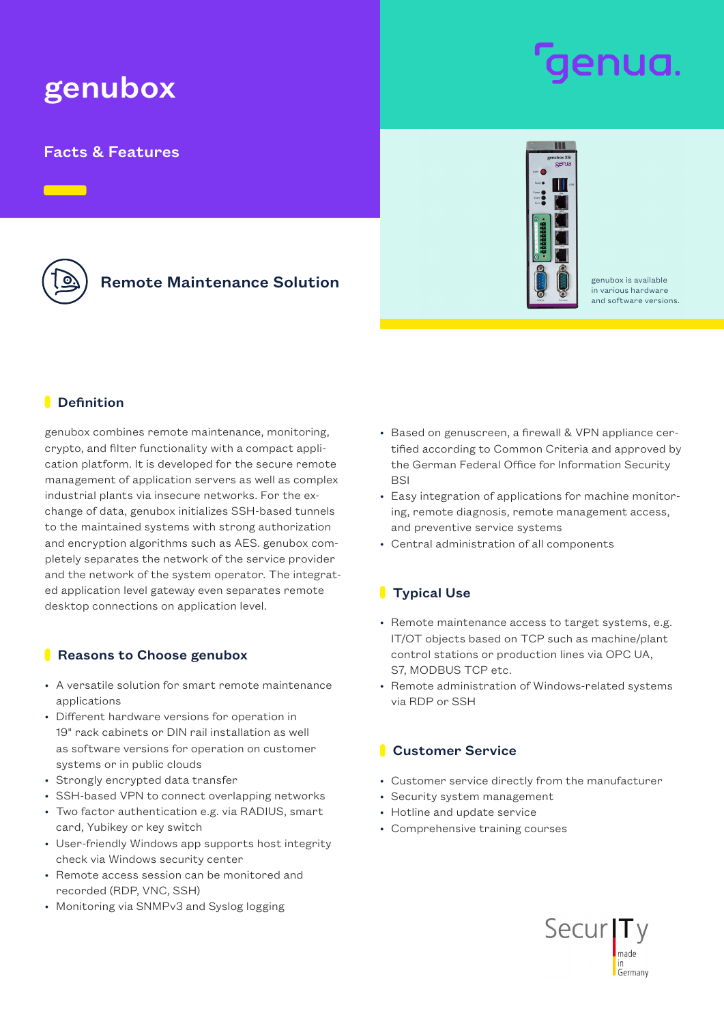# genubox

# Facts & Features

# Remote Maintenance Solution and all the senators available



in various hardware and software versions.

### **Definition**

genubox combines remote maintenance, monitoring, crypto, and filter functionality with a compact application platform. It is developed for the secure remote management of application servers as well as complex industrial plants via insecure networks. For the exchange of data, genubox initializes SSH-based tunnels to the maintained systems with strong authorization and encryption algorithms such as AES. genubox completely separates the network of the service provider and the network of the system operator. The integrated application level gateway even separates remote desktop connections on application level.

#### Reasons to Choose genubox

- A versatile solution for smart remote maintenance applications
- Different hardware versions for operation in 19" rack cabinets or DIN rail installation as well as software versions for operation on customer systems or in public clouds
- Strongly encrypted data transfer
- SSH-based VPN to connect overlapping networks
- Two factor authentication e.g. via RADIUS, smart card, Yubikey or key switch
- User-friendly Windows app supports host integrity check via Windows security center
- Remote access session can be monitored and recorded (RDP, VNC, SSH)
- Monitoring via SNMPv3 and Syslog logging
- Based on genuscreen, a firewall & VPN appliance certified according to Common Criteria and approved by the German Federal Office for Information Security **BSI**
- Easy integration of applications for machine monitoring, remote diagnosis, remote management access, and preventive service systems
- Central administration of all components

## **Typical Use**

- Remote maintenance access to target systems, e.g. IT/OT objects based on TCP such as machine/plant control stations or production lines via OPC UA, S7, MODBUS TCP etc.
- Remote administration of Windows-related systems via RDP or SSH

## **Customer Service**

- Customer service directly from the manufacturer
- Security system management
- Hotline and update service
- Comprehensive training courses

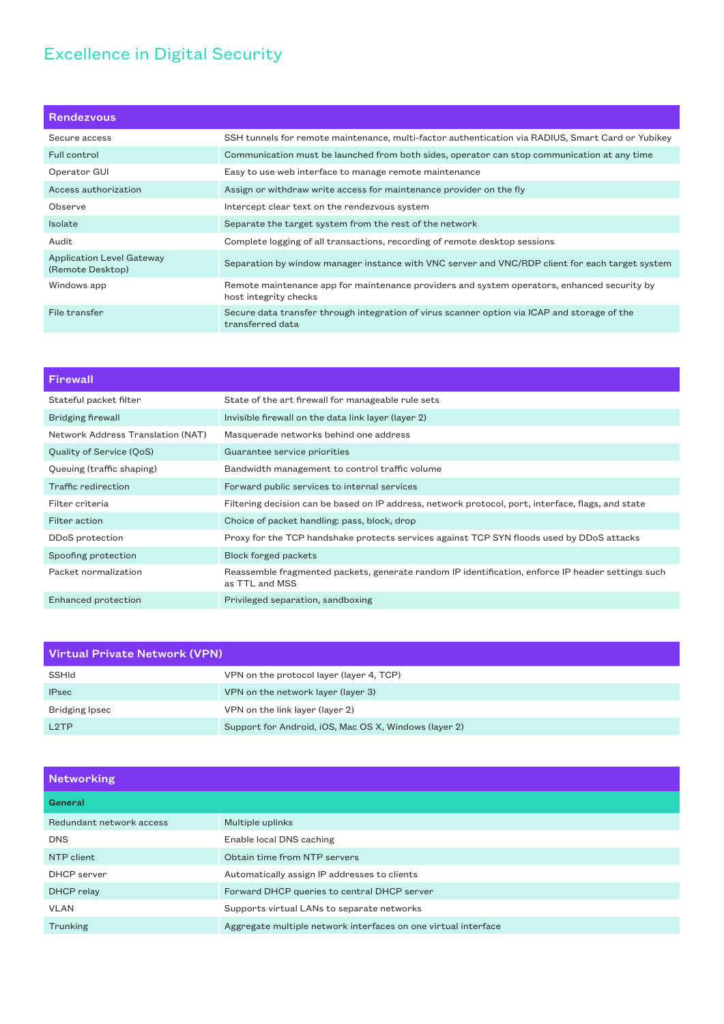# Excellence in Digital Security

| <b>Rendezvous</b>                                    |                                                                                                                      |
|------------------------------------------------------|----------------------------------------------------------------------------------------------------------------------|
| Secure access                                        | SSH tunnels for remote maintenance, multi-factor authentication via RADIUS, Smart Card or Yubikey                    |
| Full control                                         | Communication must be launched from both sides, operator can stop communication at any time                          |
| Operator GUI                                         | Easy to use web interface to manage remote maintenance                                                               |
| Access authorization                                 | Assign or withdraw write access for maintenance provider on the fly                                                  |
| Observe                                              | Intercept clear text on the rendezvous system                                                                        |
| <b>Isolate</b>                                       | Separate the target system from the rest of the network                                                              |
| Audit                                                | Complete logging of all transactions, recording of remote desktop sessions                                           |
| <b>Application Level Gateway</b><br>(Remote Desktop) | Separation by window manager instance with VNC server and VNC/RDP client for each target system                      |
| Windows app                                          | Remote maintenance app for maintenance providers and system operators, enhanced security by<br>host integrity checks |
| File transfer                                        | Secure data transfer through integration of virus scanner option via ICAP and storage of the<br>transferred data     |

| Firewall                          |                                                                                                                     |
|-----------------------------------|---------------------------------------------------------------------------------------------------------------------|
| Stateful packet filter            | State of the art firewall for manageable rule sets                                                                  |
| Bridging firewall                 | Invisible firewall on the data link layer (layer 2)                                                                 |
| Network Address Translation (NAT) | Masquerade networks behind one address                                                                              |
| Quality of Service (QoS)          | Guarantee service priorities                                                                                        |
| Queuing (traffic shaping)         | Bandwidth management to control traffic volume                                                                      |
| Traffic redirection               | Forward public services to internal services                                                                        |
| Filter criteria                   | Filtering decision can be based on IP address, network protocol, port, interface, flags, and state                  |
| Filter action                     | Choice of packet handling: pass, block, drop                                                                        |
| DDoS protection                   | Proxy for the TCP handshake protects services against TCP SYN floods used by DDoS attacks                           |
| Spoofing protection               | <b>Block forged packets</b>                                                                                         |
| Packet normalization              | Reassemble fragmented packets, generate random IP identification, enforce IP header settings such<br>as TTL and MSS |
| Enhanced protection               | Privileged separation, sandboxing                                                                                   |

| Virtual Private Network (VPN) |                                                       |
|-------------------------------|-------------------------------------------------------|
| SSHId                         | VPN on the protocol layer (layer 4, TCP)              |
| <b>IPsec</b>                  | VPN on the network layer (layer 3)                    |
| Bridging Ipsec                | VPN on the link layer (layer 2)                       |
| L <sub>2</sub> TP             | Support for Android, iOS, Mac OS X, Windows (layer 2) |

| <b>Networking</b>        |                                                                |  |
|--------------------------|----------------------------------------------------------------|--|
| General                  |                                                                |  |
| Redundant network access | Multiple uplinks                                               |  |
| <b>DNS</b>               | Enable local DNS caching                                       |  |
| NTP client               | Obtain time from NTP servers                                   |  |
| DHCP server              | Automatically assign IP addresses to clients                   |  |
| DHCP relay               | Forward DHCP queries to central DHCP server                    |  |
| VLAN                     | Supports virtual LANs to separate networks                     |  |
| Trunking                 | Aggregate multiple network interfaces on one virtual interface |  |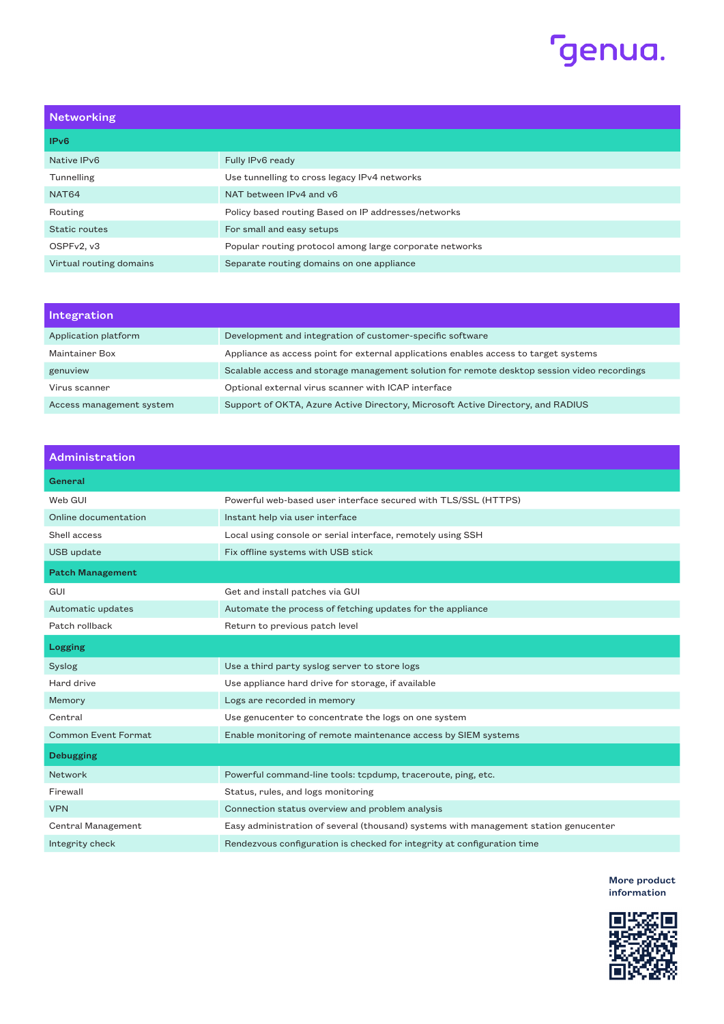

| <b>Networking</b>       |                                                         |
|-------------------------|---------------------------------------------------------|
| IP <sub>v</sub> 6       |                                                         |
| Native IPv6             | Fully IPv6 ready                                        |
| Tunnelling              | Use tunnelling to cross legacy IPv4 networks            |
| NAT64                   | NAT between IPv4 and y6                                 |
| Routing                 | Policy based routing Based on IP addresses/networks     |
| Static routes           | For small and easy setups                               |
| OSPFv2, v3              | Popular routing protocol among large corporate networks |
| Virtual routing domains | Separate routing domains on one appliance               |

| <b>Integration</b>       |                                                                                             |
|--------------------------|---------------------------------------------------------------------------------------------|
| Application platform     | Development and integration of customer-specific software                                   |
| Maintainer Box           | Appliance as access point for external applications enables access to target systems        |
| genuview                 | Scalable access and storage management solution for remote desktop session video recordings |
| Virus scanner            | Optional external virus scanner with ICAP interface                                         |
| Access management system | Support of OKTA, Azure Active Directory, Microsoft Active Directory, and RADIUS             |

| Administration             |                                                                                      |
|----------------------------|--------------------------------------------------------------------------------------|
| General                    |                                                                                      |
| Web GUI                    | Powerful web-based user interface secured with TLS/SSL (HTTPS)                       |
| Online documentation       | Instant help via user interface                                                      |
| Shell access               | Local using console or serial interface, remotely using SSH                          |
| USB update                 | Fix offline systems with USB stick                                                   |
| <b>Patch Management</b>    |                                                                                      |
| GUI                        | Get and install patches via GUI                                                      |
| Automatic updates          | Automate the process of fetching updates for the appliance                           |
| Patch rollback             | Return to previous patch level                                                       |
| Logging                    |                                                                                      |
| <b>Syslog</b>              | Use a third party syslog server to store logs                                        |
| Hard drive                 | Use appliance hard drive for storage, if available                                   |
| Memory                     | Logs are recorded in memory                                                          |
| Central                    | Use genucenter to concentrate the logs on one system                                 |
| <b>Common Event Format</b> | Enable monitoring of remote maintenance access by SIEM systems                       |
| <b>Debugging</b>           |                                                                                      |
| Network                    | Powerful command-line tools: tcpdump, traceroute, ping, etc.                         |
| Firewall                   | Status, rules, and logs monitoring                                                   |
| <b>VPN</b>                 | Connection status overview and problem analysis                                      |
| Central Management         | Easy administration of several (thousand) systems with management station genucenter |
| Integrity check            | Rendezvous configuration is checked for integrity at configuration time              |

More product [information](https://www.genua.eu/genubox)